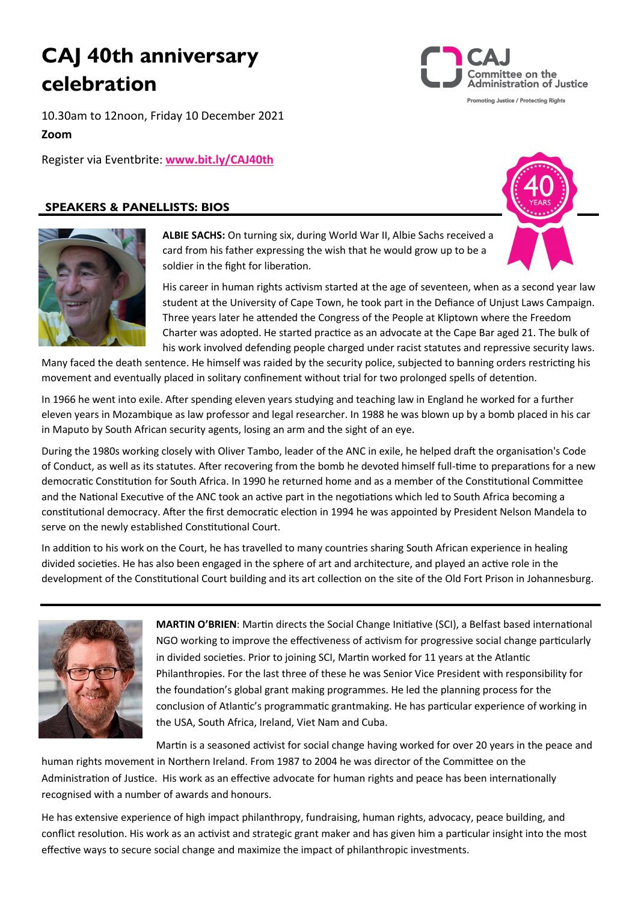# **CAJ 40th anniversary celebration**

ommittee on the dministration of Justice Promoting Justice / Protecting Rights

10.30am to 12noon, Friday 10 December 2021

### **Zoom**

Register via Eventbrite: **[www.bit.ly/CAJ40th](https://bit.ly/CAJ40th)**

### **SPEAKERS & PANELLISTS: BIOS**





**ALBIE SACHS:** On turning six, during World War II, Albie Sachs received a card from his father expressing the wish that he would grow up to be a soldier in the fight for liberation.

His career in human rights activism started at the age of seventeen, when as a second year law student at the University of Cape Town, he took part in the Defiance of Unjust Laws Campaign. Three years later he attended the Congress of the People at Kliptown where the Freedom Charter was adopted. He started practice as an advocate at the Cape Bar aged 21. The bulk of his work involved defending people charged under racist statutes and repressive security laws.

Many faced the death sentence. He himself was raided by the security police, subjected to banning orders restricting his movement and eventually placed in solitary confinement without trial for two prolonged spells of detention.

In 1966 he went into exile. After spending eleven years studying and teaching law in England he worked for a further eleven years in Mozambique as law professor and legal researcher. In 1988 he was blown up by a bomb placed in his car in Maputo by South African security agents, losing an arm and the sight of an eye.

During the 1980s working closely with Oliver Tambo, leader of the ANC in exile, he helped draft the organisation's Code of Conduct, as well as its statutes. After recovering from the bomb he devoted himself full-time to preparations for a new democratic Constitution for South Africa. In 1990 he returned home and as a member of the Constitutional Committee and the National Executive of the ANC took an active part in the negotiations which led to South Africa becoming a constitutional democracy. After the first democratic election in 1994 he was appointed by President Nelson Mandela to serve on the newly established Constitutional Court.

In addition to his work on the Court, he has travelled to many countries sharing South African experience in healing divided societies. He has also been engaged in the sphere of art and architecture, and played an active role in the development of the Constitutional Court building and its art collection on the site of the Old Fort Prison in Johannesburg.



**MARTIN O'BRIEN**: Martin directs the Social Change Initiative (SCI), a Belfast based international NGO working to improve the effectiveness of activism for progressive social change particularly in divided societies. Prior to joining SCI, Martin worked for 11 years at the Atlantic Philanthropies. For the last three of these he was Senior Vice President with responsibility for the foundation's global grant making programmes. He led the planning process for the conclusion of Atlantic's programmatic grantmaking. He has particular experience of working in the USA, South Africa, Ireland, Viet Nam and Cuba.

Martin is a seasoned activist for social change having worked for over 20 years in the peace and human rights movement in Northern Ireland. From 1987 to 2004 he was director of the Committee on the

Administration of Justice. His work as an effective advocate for human rights and peace has been internationally recognised with a number of awards and honours.

He has extensive experience of high impact philanthropy, fundraising, human rights, advocacy, peace building, and conflict resolution. His work as an activist and strategic grant maker and has given him a particular insight into the most effective ways to secure social change and maximize the impact of philanthropic investments.